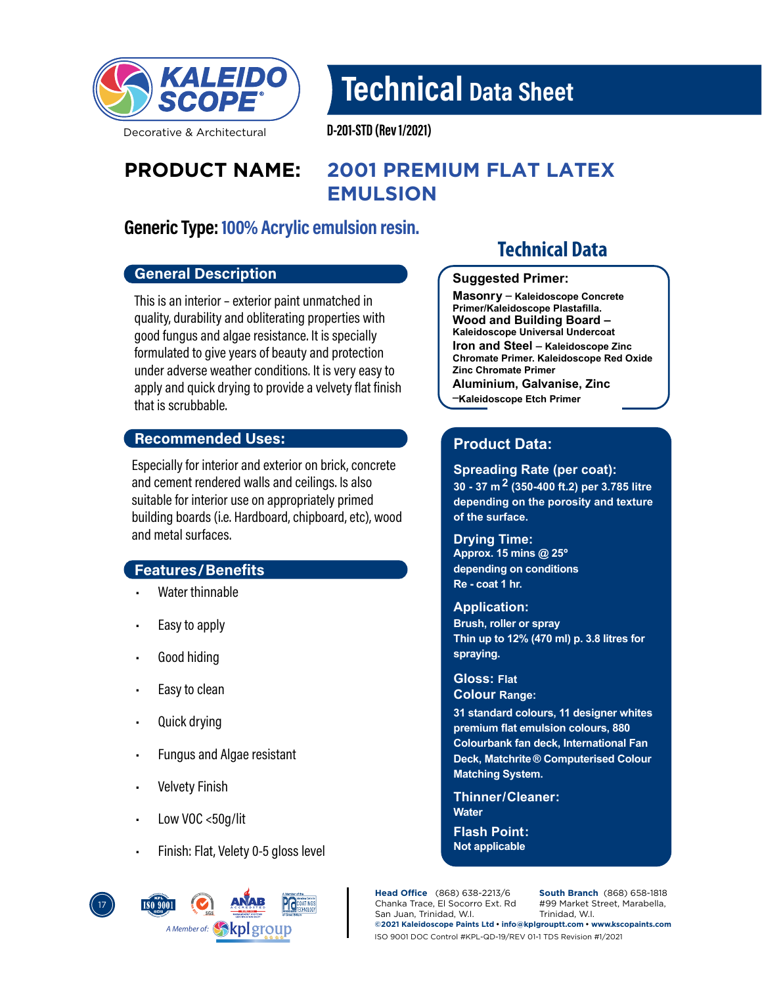

Technical Data Sheet

Decorative & Architectural

D-201-STD (Rev 1/2021)

# **PRODUCT NAME: 2001 PREMIUM FLAT LATEX EMULSION**

# Generic Type: 100% Acrylic emulsion resin.

### General Description

This is an interior – exterior paint unmatched in quality, durability and obliterating properties with good fungus and algae resistance. It is specially formulated to give years of beauty and protection under adverse weather conditions. It is very easy to apply and quick drying to provide a velvety flat finish that is scrubbable.

### Recommended Uses:

Especially for interior and exterior on brick, concrete and cement rendered walls and ceilings. Is also suitable for interior use on appropriately primed building boards (i.e. Hardboard, chipboard, etc), wood and metal surfaces.

### Features/Benefits

- Water thinnable
- Easy to apply
- Good hiding
- Easy to clean
- Quick drying
- Fungus and Algae resistant
- **Velvety Finish**
- Low VOC <50g/lit
- Finish: Flat, Velety 0-5 gloss level



# **Technical Data**

#### **Suggested Primer:**

**Masonry \_ Kaleidoscope Concrete Primer/Kaleidoscope Plastafilla. Wood and Building Board – Kaleidoscope Universal Undercoat Iron and Steel \_ Kaleidoscope Zinc Chromate Primer. Kaleidoscope Red Oxide Zinc Chromate Primer Aluminium, Galvanise, Zinc** 

**\_ Kaleidoscope Etch Primer**

# **Product Data:**

**Spreading Rate (per coat): 30 - 37 m 2 (350-400 ft.2) per 3.785 litre** 

**depending on the porosity and texture of the surface.**

### **Drying Time:**

**Approx. 15 mins @ 25º depending on conditions Re - coat 1 hr.**

#### **Application:**

**Brush, roller or spray Thin up to 12% (470 ml) p. 3.8 litres for spraying.**

**Gloss: Flat Colour Range:**

**31 standard colours, 11 designer whites premium flat emulsion colours, 880 Colourbank fan deck, International Fan Deck, Matchrite ® Computerised Colour Matching System.**

**Water Thinner/ Cleaner:** 

**Flash Point: Not applicable**

**Head Office** (868) 638-2213/6 Chanka Trace, El Socorro Ext. Rd San Juan, Trinidad, W.I.

**South Branch** (868) 658-1818 #99 Market Street, Marabella, Trinidad, W.I.

**©2021 Kaleidoscope Paints Ltd • info@kplgrouptt.com • www.kscopaints.com** ISO 9001 DOC Control #KPL-QD-19/REV 01-1 TDS Revision #1/2021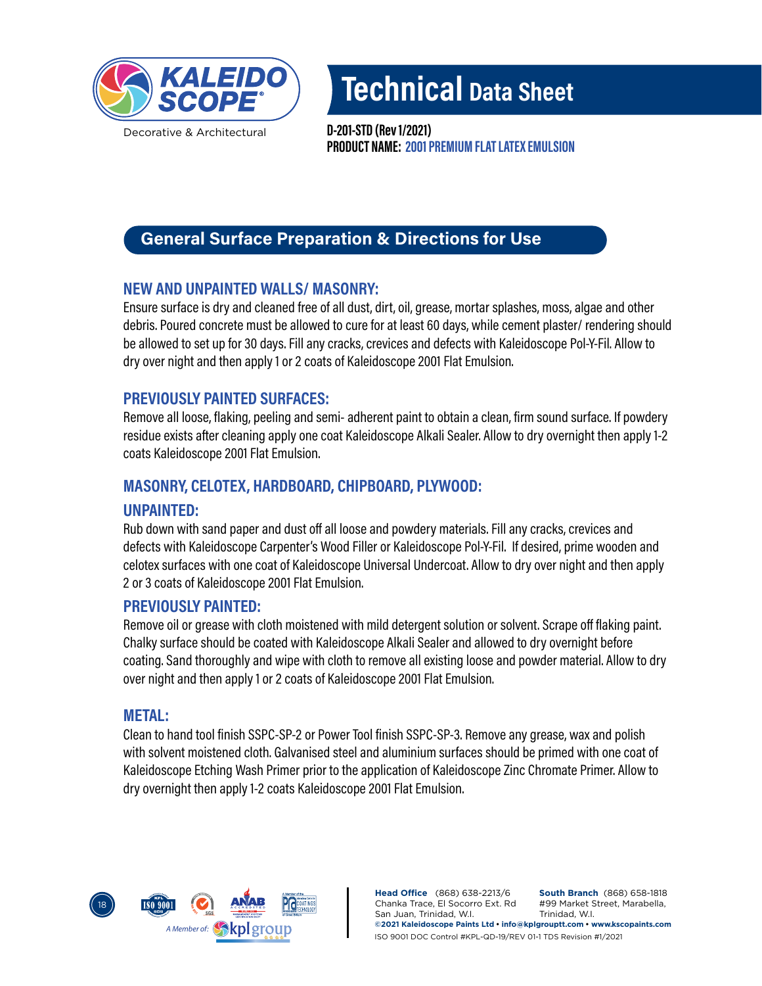

Decorative & Architectural

Technical Data Sheet

PRODUCT NAME: 2001 PREMIUM FLAT LATEX EMULSION D-201-STD (Rev 1/2021)

# General Surface Preparation & Directions for Use

# NEW AND UNPAINTED WALLS/ MASONRY:

Ensure surface is dry and cleaned free of all dust, dirt, oil, grease, mortar splashes, moss, algae and other debris. Poured concrete must be allowed to cure for at least 60 days, while cement plaster/ rendering should be allowed to set up for 30 days. Fill any cracks, crevices and defects with Kaleidoscope Pol-Y-Fil. Allow to dry over night and then apply 1 or 2 coats of Kaleidoscope 2001 Flat Emulsion.

# PREVIOUSLY PAINTED SURFACES:

Remove all loose, flaking, peeling and semi- adherent paint to obtain a clean, firm sound surface. If powdery residue exists after cleaning apply one coat Kaleidoscope Alkali Sealer. Allow to dry overnight then apply 1-2 coats Kaleidoscope 2001 Flat Emulsion.

# MASONRY, CELOTEX, HARDBOARD, CHIPBOARD, PLYWOOD:

## UNPAINTED:

Rub down with sand paper and dust off all loose and powdery materials. Fill any cracks, crevices and defects with Kaleidoscope Carpenter's Wood Filler or Kaleidoscope Pol-Y-Fil. If desired, prime wooden and celotex surfaces with one coat of Kaleidoscope Universal Undercoat. Allow to dry over night and then apply 2 or 3 coats of Kaleidoscope 2001 Flat Emulsion.

## PREVIOUSLY PAINTED:

Remove oil or grease with cloth moistened with mild detergent solution or solvent. Scrape off flaking paint. Chalky surface should be coated with Kaleidoscope Alkali Sealer and allowed to dry overnight before coating. Sand thoroughly and wipe with cloth to remove all existing loose and powder material. Allow to dry over night and then apply 1 or 2 coats of Kaleidoscope 2001 Flat Emulsion.

### METAL:

Clean to hand tool finish SSPC-SP-2 or Power Tool finish SSPC-SP-3. Remove any grease, wax and polish with solvent moistened cloth. Galvanised steel and aluminium surfaces should be primed with one coat of Kaleidoscope Etching Wash Primer prior to the application of Kaleidoscope Zinc Chromate Primer. Allow to dry overnight then apply 1-2 coats Kaleidoscope 2001 Flat Emulsion.



**Head Office** (868) 638-2213/6 Chanka Trace, El Socorro Ext. Rd San Juan, Trinidad, W.I. **South Branch** (868) 658-1818 #99 Market Street, Marabella, Trinidad, W.I. **©2021 Kaleidoscope Paints Ltd • info@kplgrouptt.com • www.kscopaints.com** ISO 9001 DOC Control #KPL-QD-19/REV 01-1 TDS Revision #1/2021